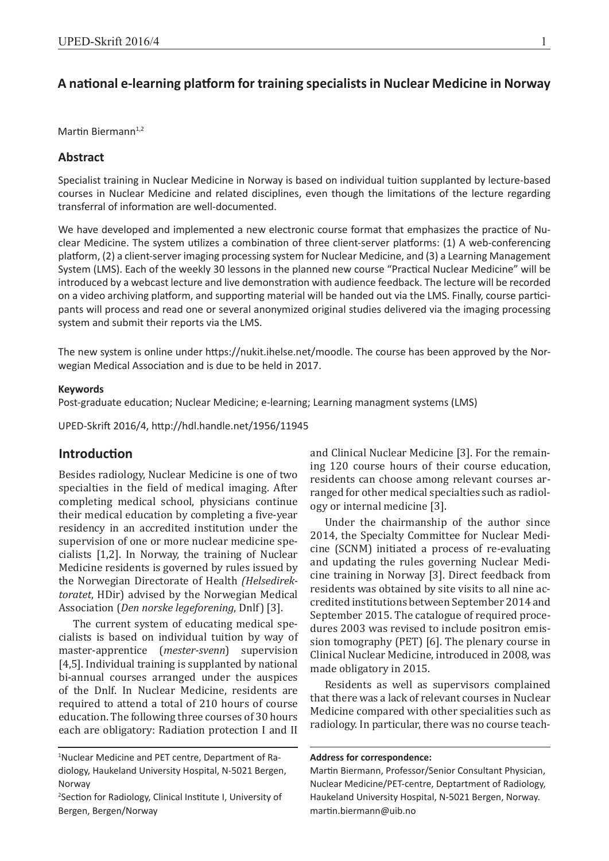# **A naƟ onal e-learning plaƞ orm for training specialists in Nuclear Medicine in Norway**

Martin Biermann<sup>1,2</sup>

#### **Abstract**

Specialist training in Nuclear Medicine in Norway is based on individual tuition supplanted by lecture-based courses in Nuclear Medicine and related disciplines, even though the limitations of the lecture regarding transferral of information are well-documented.

We have developed and implemented a new electronic course format that emphasizes the practice of Nuclear Medicine. The system utilizes a combination of three client-server platforms: (1) A web-conferencing platform, (2) a client-server imaging processing system for Nuclear Medicine, and (3) a Learning Management System (LMS). Each of the weekly 30 lessons in the planned new course "Practical Nuclear Medicine" will be introduced by a webcast lecture and live demonstration with audience feedback. The lecture will be recorded on a video archiving platform, and supporting material will be handed out via the LMS. Finally, course participants will process and read one or several anonymized original studies delivered via the imaging processing system and submit their reports via the LMS.

The new system is online under https://nukit.ihelse.net/moodle. The course has been approved by the Norwegian Medical Association and is due to be held in 2017.

#### **Keywords**

Post-graduate education; Nuclear Medicine; e-learning; Learning managment systems (LMS)

UPED-Skrift 2016/4, http://hdl.handle.net/1956/11945

# **Introduction**

Besides radiology, Nuclear Medicine is one of two specialties in the field of medical imaging. After completing medical school, physicians continue their medical education by completing a five-year residency in an accredited institution under the supervision of one or more nuclear medicine specialists [1,2]. In Norway, the training of Nuclear Medicine residents is governed by rules issued by the Norwegian Directorate of Health *(Helsedirektoratet*, HDir) advised by the Norwegian Medical Association (*Den norske legeforening*, Dnlf) [3].

The current system of educating medical specialists is based on individual tuition by way of master-apprentice (*mester-svenn*) supervision [4,5]. Individual training is supplanted by national bi-annual courses arranged under the auspices of the Dnlf. In Nuclear Medicine, residents are required to attend a total of 210 hours of course education. The following three courses of 30 hours each are obligatory: Radiation protection I and II and Clinical Nuclear Medicine [3]. For the remaining 120 course hours of their course education, residents can choose among relevant courses arranged for other medical specialties such as radiology or internal medicine [3].

Under the chairmanship of the author since 2014, the Specialty Committee for Nuclear Medicine (SCNM) initiated a process of re-evaluating and updating the rules governing Nuclear Medicine training in Norway [3]. Direct feedback from residents was obtained by site visits to all nine accredited institutions between September 2014 and September 2015. The catalogue of required procedures 2003 was revised to include positron emission tomography (PET) [6]. The plenary course in Clinical Nuclear Medicine, introduced in 2008, was made obligatory in 2015.

Residents as well as supervisors complained that there was a lack of relevant courses in Nuclear Medicine compared with other specialities such as radiology. In particular, there was no course teach-

**Address for correspondence:**

<sup>1</sup> Nuclear Medicine and PET centre, Department of Radiology, Haukeland University Hospital, N-5021 Bergen, Norway

<sup>&</sup>lt;sup>2</sup>Section for Radiology, Clinical Institute I, University of Bergen, Bergen/Norway

Martin Biermann, Professor/Senior Consultant Physician, Nuclear Medicine/PET-centre, Deptartment of Radiology, Haukeland University Hospital, N-5021 Bergen, Norway. martin.biermann@uib.no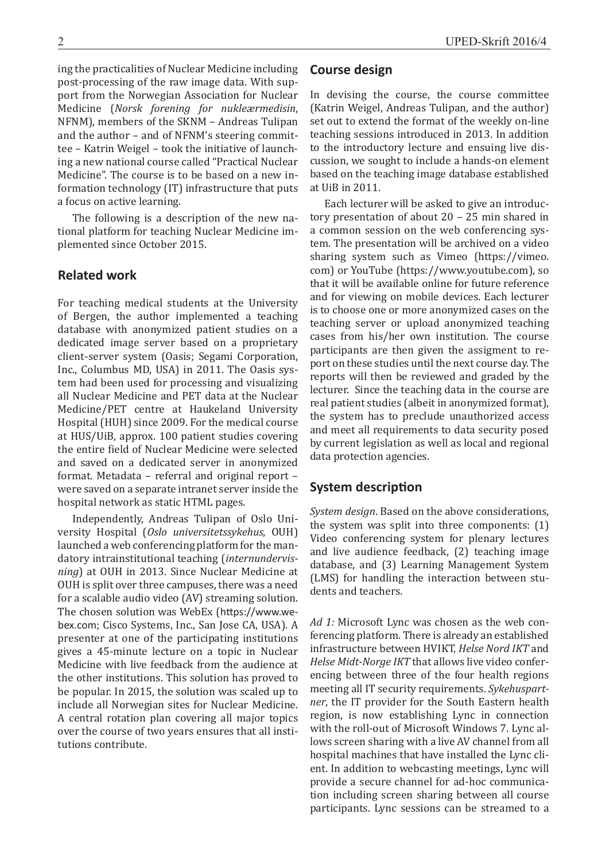ing the practicalities of Nuclear Medicine including post-processing of the raw image data. With support from the Norwegian Association for Nuclear Medicine (*Norsk forening for nukleærmedisin*, NFNM), members of the SKNM – Andreas Tulipan and the author – and of NFNM's steering committee – Katrin Weigel – took the initiative of launching a new national course called "Practical Nuclear Medicine". The course is to be based on a new information technology (IT) infrastructure that puts a focus on active learning.

The following is a description of the new national platform for teaching Nuclear Medicine implemented since October 2015.

### **Related work**

For teaching medical students at the University of Bergen, the author implemented a teaching database with anonymized patient studies on a dedicated image server based on a proprietary client-server system (Oasis; Segami Corporation, Inc., Columbus MD, USA) in 2011. The Oasis system had been used for processing and visualizing all Nuclear Medicine and PET data at the Nuclear Medicine/PET centre at Haukeland University Hospital (HUH) since 2009. For the medical course at HUS/UiB, approx. 100 patient studies covering the entire field of Nuclear Medicine were selected and saved on a dedicated server in anonymized format. Metadata – referral and original report – were saved on a separate intranet server inside the hospital network as static HTML pages.

Independently, Andreas Tulipan of Oslo University Hospital (*Oslo universitetssykehus*, OUH) launched a web conferencing platform for the mandatory intrainstitutional teaching (*internundervisning*) at OUH in 2013. Since Nuclear Medicine at OUH is split over three campuses, there was a need for a scalable audio video (AV) streaming solution. The chosen solution was WebEx (https://www.webex.com; Cisco Systems, Inc., San Jose CA, USA). A presenter at one of the participating institutions gives a 45-minute lecture on a topic in Nuclear Medicine with live feedback from the audience at the other institutions. This solution has proved to be popular. In 2015, the solution was scaled up to include all Norwegian sites for Nuclear Medicine. A central rotation plan covering all major topics over the course of two years ensures that all institutions contribute.

#### **Course design**

In devising the course, the course committee (Katrin Weigel, Andreas Tulipan, and the author) set out to extend the format of the weekly on-line teaching sessions introduced in 2013. In addition to the introductory lecture and ensuing live discussion, we sought to include a hands-on element based on the teaching image database established at UiB in 2011.

Each lecturer will be asked to give an introductory presentation of about 20 – 25 min shared in a common session on the web conferencing system. The presentation will be archived on a video sharing system such as Vimeo (https://vimeo. com) or YouTube (https://www.youtube.com), so that it will be available online for future reference and for viewing on mobile devices. Each lecturer is to choose one or more anonymized cases on the teaching server or upload anonymized teaching cases from his/her own institution. The course participants are then given the assigment to report on these studies until the next course day. The reports will then be reviewed and graded by the lecturer. Since the teaching data in the course are real patient studies (albeit in anonymized format), the system has to preclude unauthorized access and meet all requirements to data security posed by current legislation as well as local and regional data protection agencies.

# **System description**

*System design*. Based on the above considerations, the system was split into three components: (1) Video conferencing system for plenary lectures and live audience feedback, (2) teaching image database, and (3) Learning Management System (LMS) for handling the interaction between students and teachers.

*Ad 1:* Microsoft Lync was chosen as the web conferencing platform. There is already an established infrastructure between HVIKT, *Helse Nord IKT* and *Helse Midt-Norge IKT* that allows live video conferencing between three of the four health regions meeting all IT security requirements. *Sykehuspartner*, the IT provider for the South Eastern health region, is now establishing Lync in connection with the roll-out of Microsoft Windows 7. Lync allows screen sharing with a live AV channel from all hospital machines that have installed the Lync client. In addition to webcasting meetings, Lync will provide a secure channel for ad-hoc communication including screen sharing between all course participants. Lync sessions can be streamed to a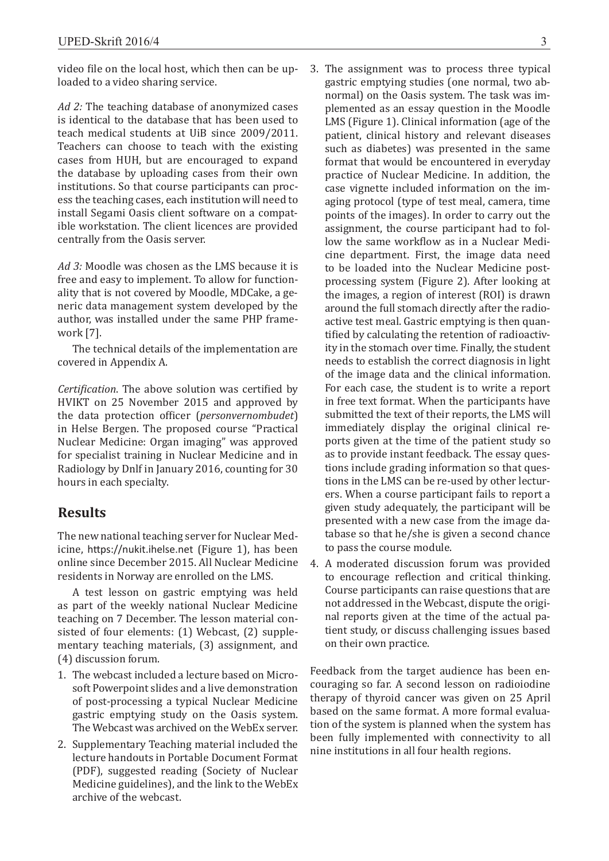video file on the local host, which then can be uploaded to a video sharing service.

*Ad 2:* The teaching database of anonymized cases is identical to the database that has been used to teach medical students at UiB since 2009/2011. Teachers can choose to teach with the existing cases from HUH, but are encouraged to expand the database by uploading cases from their own institutions. So that course participants can process the teaching cases, each institution will need to install Segami Oasis client software on a compatible workstation. The client licences are provided centrally from the Oasis server.

*Ad 3:* Moodle was chosen as the LMS because it is free and easy to implement. To allow for functionality that is not covered by Moodle, MDCake, a generic data management system developed by the author, was installed under the same PHP framework [7].

The technical details of the implementation are covered in Appendix A.

*Certification*. The above solution was certified by HVIKT on 25 November 2015 and approved by the data protection officer (*personvernombudet*) in Helse Bergen. The proposed course "Practical Nuclear Medicine: Organ imaging" was approved for specialist training in Nuclear Medicine and in Radiology by Dnlf in January 2016, counting for 30 hours in each specialty.

# **Results**

The new national teaching server for Nuclear Medicine, https://nukit.ihelse.net (Figure 1), has been online since December 2015. All Nuclear Medicine residents in Norway are enrolled on the LMS.

A test lesson on gastric emptying was held as part of the weekly national Nuclear Medicine teaching on 7 December. The lesson material consisted of four elements: (1) Webcast, (2) supplementary teaching materials, (3) assignment, and (4) discussion forum.

- 1. The webcast included a lecture based on Microsoft Powerpoint slides and a live demonstration of post-processing a typical Nuclear Medicine gastric emptying study on the Oasis system. The Webcast was archived on the WebEx server.
- 2. Supplementary Teaching material included the lecture handouts in Portable Document Format (PDF), suggested reading (Society of Nuclear Medicine guidelines), and the link to the WebEx archive of the webcast.
- 3. The assignment was to process three typical gastric emptying studies (one normal, two abnormal) on the Oasis system. The task was implemented as an essay question in the Moodle LMS (Figure 1). Clinical information (age of the patient, clinical history and relevant diseases such as diabetes) was presented in the same format that would be encountered in everyday practice of Nuclear Medicine. In addition, the case vignette included information on the imaging protocol (type of test meal, camera, time points of the images). In order to carry out the assignment, the course participant had to follow the same workflow as in a Nuclear Medicine department. First, the image data need to be loaded into the Nuclear Medicine postprocessing system (Figure 2). After looking at the images, a region of interest (ROI) is drawn around the full stomach directly after the radioactive test meal. Gastric emptying is then quantified by calculating the retention of radioactivity in the stomach over time. Finally, the student needs to establish the correct diagnosis in light of the image data and the clinical information. For each case, the student is to write a report in free text format. When the participants have submitted the text of their reports, the LMS will immediately display the original clinical reports given at the time of the patient study so as to provide instant feedback. The essay questions include grading information so that questions in the LMS can be re-used by other lecturers. When a course participant fails to report a given study adequately, the participant will be presented with a new case from the image database so that he/she is given a second chance to pass the course module.
- 4. A moderated discussion forum was provided to encourage reflection and critical thinking. Course participants can raise questions that are not addressed in the Webcast, dispute the original reports given at the time of the actual patient study, or discuss challenging issues based on their own practice.

Feedback from the target audience has been encouraging so far. A second lesson on radioiodine therapy of thyroid cancer was given on 25 April based on the same format. A more formal evaluation of the system is planned when the system has been fully implemented with connectivity to all nine institutions in all four health regions.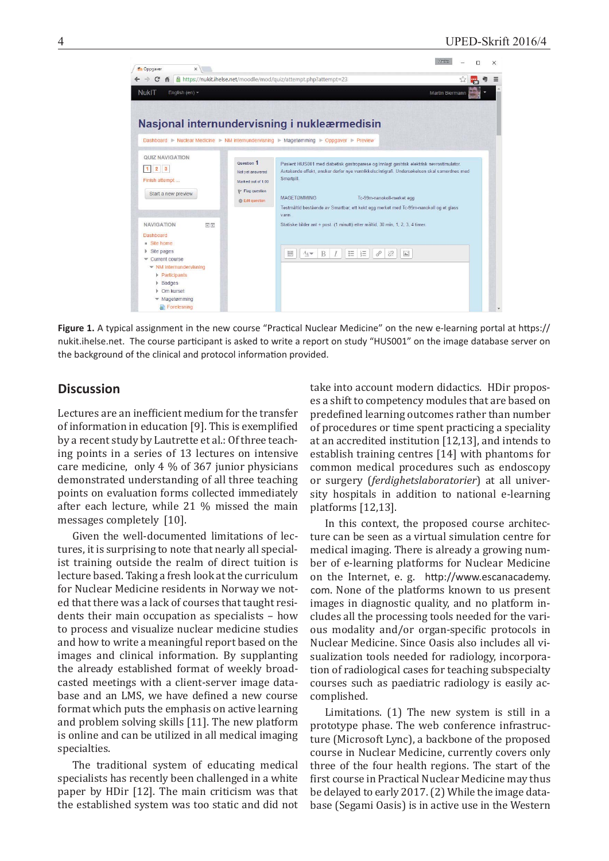

Figure 1. A typical assignment in the new course "Practical Nuclear Medicine" on the new e-learning portal at https:// nukit.ihelse.net. The course participant is asked to write a report on study "HUS001" on the image database server on the background of the clinical and protocol information provided.

# **Discussion**

Lectures are an inefficient medium for the transfer of information in education [9]. This is exemplified by a recent study by Lautrette et al.: Of three teaching points in a series of 13 lectures on intensive care medicine, only 4 % of 367 junior physicians demonstrated understanding of all three teaching points on evaluation forms collected immediately after each lecture, while 21 % missed the main messages completely [10].

Given the well-documented limitations of lectures, it is surprising to note that nearly all specialist training outside the realm of direct tuition is lecture based. Taking a fresh look at the curriculum for Nuclear Medicine residents in Norway we noted that there was a lack of courses that taught residents their main occupation as specialists – how to process and visualize nuclear medicine studies and how to write a meaningful report based on the images and clinical information. By supplanting the already established format of weekly broadcasted meetings with a client-server image database and an LMS, we have defined a new course format which puts the emphasis on active learning and problem solving skills [11]. The new platform is online and can be utilized in all medical imaging specialties.

The traditional system of educating medical specialists has recently been challenged in a white paper by HDir [12]. The main criticism was that the established system was too static and did not take into account modern didactics. HDir proposes a shift to competency modules that are based on predefined learning outcomes rather than number of procedures or time spent practicing a speciality at an accredited institution [12,13], and intends to establish training centres [14] with phantoms for common medical procedures such as endoscopy or surgery (*ferdighetslaboratorier*) at all university hospitals in addition to national e-learning platforms [12,13].

In this context, the proposed course architecture can be seen as a virtual simulation centre for medical imaging. There is already a growing number of e-learning platforms for Nuclear Medicine on the Internet, e. g. http://www.escanacademy. com. None of the platforms known to us present images in diagnostic quality, and no platform includes all the processing tools needed for the various modality and/or organ-specific protocols in Nuclear Medicine. Since Oasis also includes all visualization tools needed for radiology, incorporation of radiological cases for teaching subspecialty courses such as paediatric radiology is easily accomplished.

Limitations. (1) The new system is still in a prototype phase. The web conference infrastructure (Microsoft Lync), a backbone of the proposed course in Nuclear Medicine, currently covers only three of the four health regions. The start of the first course in Practical Nuclear Medicine may thus be delayed to early 2017. (2) While the image database (Segami Oasis) is in active use in the Western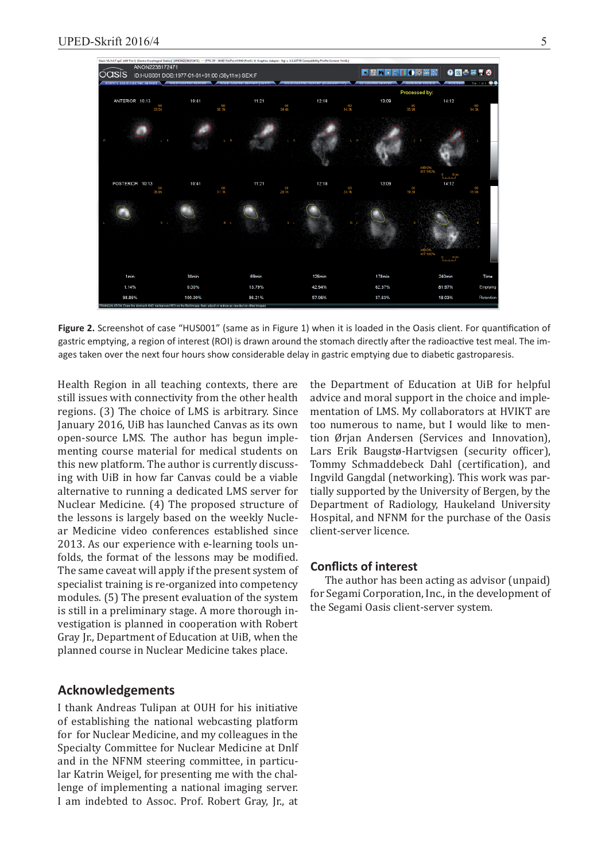

Figure 2. Screenshot of case "HUS001" (same as in Figure 1) when it is loaded in the Oasis client. For quantification of gastric emptying, a region of interest (ROI) is drawn around the stomach directly after the radioactive test meal. The images taken over the next four hours show considerable delay in gastric emptying due to diabetic gastroparesis.

Health Region in all teaching contexts, there are still issues with connectivity from the other health regions. (3) The choice of LMS is arbitrary. Since January 2016, UiB has launched Canvas as its own open-source LMS. The author has begun implementing course material for medical students on this new platform. The author is currently discussing with UiB in how far Canvas could be a viable alternative to running a dedicated LMS server for Nuclear Medicine. (4) The proposed structure of the lessons is largely based on the weekly Nuclear Medicine video conferences established since 2013. As our experience with e-learning tools unfolds, the format of the lessons may be modified. The same caveat will apply if the present system of specialist training is re-organized into competency modules. (5) The present evaluation of the system is still in a preliminary stage. A more thorough investigation is planned in cooperation with Robert Gray Jr., Department of Education at UiB, when the planned course in Nuclear Medicine takes place.

## **Acknowledgements**

I thank Andreas Tulipan at OUH for his initiative of establishing the national webcasting platform for for Nuclear Medicine, and my colleagues in the Specialty Committee for Nuclear Medicine at Dnlf and in the NFNM steering committee, in particular Katrin Weigel, for presenting me with the challenge of implementing a national imaging server. I am indebted to Assoc. Prof. Robert Gray, Jr., at

the Department of Education at UiB for helpful advice and moral support in the choice and implementation of LMS. My collaborators at HVIKT are too numerous to name, but I would like to mention Ørjan Andersen (Services and Innovation), Lars Erik Baugstø-Hartvigsen (security officer), Tommy Schmaddebeck Dahl (certification), and Ingvild Gangdal (networking). This work was partially supported by the University of Bergen, by the Department of Radiology, Haukeland University Hospital, and NFNM for the purchase of the Oasis client-server licence.

# **Conflicts of interest**

The author has been acting as advisor (unpaid) for Segami Corporation, Inc., in the development of the Segami Oasis client-server system.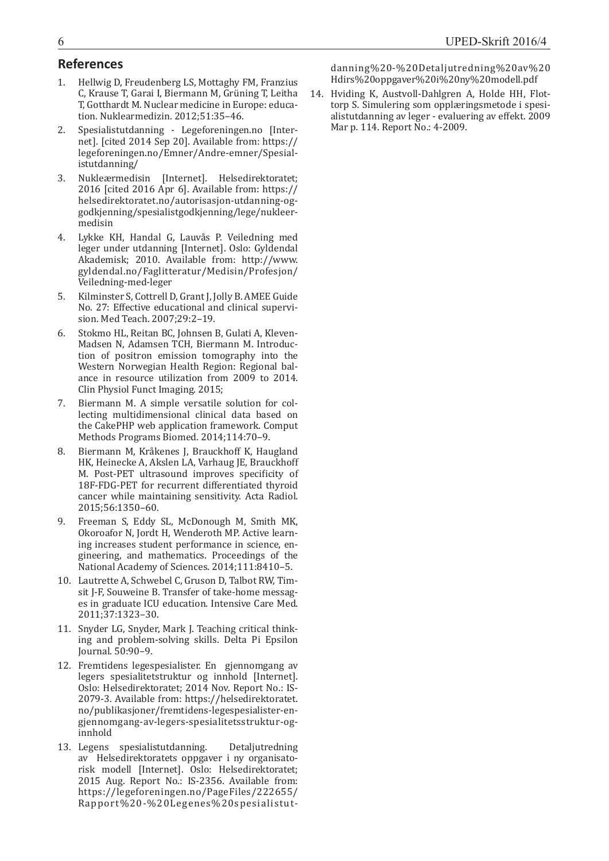# **References**

- 1. Hellwig D, Freudenberg LS, Mottaghy FM, Franzius C, Krause T, Garai I, Biermann M, Grüning T, Leitha T, Gotthardt M. Nuclear medicine in Europe: education. Nuklearmedizin. 2012;51:35–46.
- 2. Spesialistutdanning Legeforeningen.no [Internet]. [cited 2014 Sep 20]. Available from: https:// legeforeningen.no/Emner/Andre-emner/Spesialistutdanning/
- 3. Nukleærmedisin [Internet]. Helsedirektoratet; 2016 [cited 2016 Apr 6]. Available from: https:// helsedirektoratet.no/autorisasjon-utdanning-oggodkjenning/spesialistgodkjenning/lege/nukleermedisin
- 4. Lykke KH, Handal G, Lauvås P. Veiledning med leger under utdanning [Internet]. Oslo: Gyldendal Akademisk; 2010. Available from: http://www. gyldendal.no/Faglitteratur/Medisin/Profesjon/ Veiledning-med-leger
- 5. Kilminster S, Cottrell D, Grant J, Jolly B. AMEE Guide No. 27: Effective educational and clinical supervision. Med Teach. 2007;29:2–19.
- 6. Stokmo HL, Reitan BC, Johnsen B, Gulati A, Kleven-Madsen N, Adamsen TCH, Biermann M. Introduction of positron emission tomography into the Western Norwegian Health Region: Regional balance in resource utilization from 2009 to 2014. Clin Physiol Funct Imaging. 2015;
- 7. Biermann M. A simple versatile solution for collecting multidimensional clinical data based on the CakePHP web application framework. Comput Methods Programs Biomed. 2014;114:70–9.
- 8. Biermann M, Kråkenes J, Brauckhoff K, Haugland HK, Heinecke A, Akslen LA, Varhaug JE, Brauckhoff M. Post-PET ultrasound improves specificity of 18F-FDG-PET for recurrent differentiated thyroid cancer while maintaining sensitivity. Acta Radiol. 2015;56:1350–60.
- 9. Freeman S, Eddy SL, McDonough M, Smith MK, Okoroafor N, Jordt H, Wenderoth MP. Active learning increases student performance in science, engineering, and mathematics. Proceedings of the National Academy of Sciences. 2014;111:8410–5.
- 10. Lautrette A, Schwebel C, Gruson D, Talbot RW, Timsit J-F, Souweine B. Transfer of take-home messages in graduate ICU education. Intensive Care Med. 2011;37:1323–30.
- 11. Snyder LG, Snyder, Mark J. Teaching critical thinking and problem-solving skills. Delta Pi Epsilon Journal. 50:90–9.
- 12. Fremtidens legespesialister. En gjennomgang av legers spesialitetstruktur og innhold [Internet]. Oslo: Helsedirektoratet; 2014 Nov. Report No.: IS-2079-3. Available from: https://helsedirektoratet. no/publikasjoner/fremtidens-legespesialister-engjennomgang-av-legers-spesialitetsstruktur-oginnhold
- 13. Legens spesialistutdanning. Detaljutredning av Helsedirektoratets oppgaver i ny organisatorisk modell [Internet]. Oslo: Helsedirektoratet; 2015 Aug. Report No.: IS-2356. Available from: https://legeforeningen.no/PageFiles/222655/ Rapport%20-%20Legenes%20spesialistut-

danning%20-%20Detaljutredning%20av%20 Hdirs%20oppgaver%20i%20ny%20modell.pdf

14. Hviding K, Austvoll-Dahlgren A, Holde HH, Flottorp S. Simulering som opplæringsmetode i spesialistutdanning av leger - evaluering av effekt. 2009 Mar p. 114. Report No.: 4-2009.